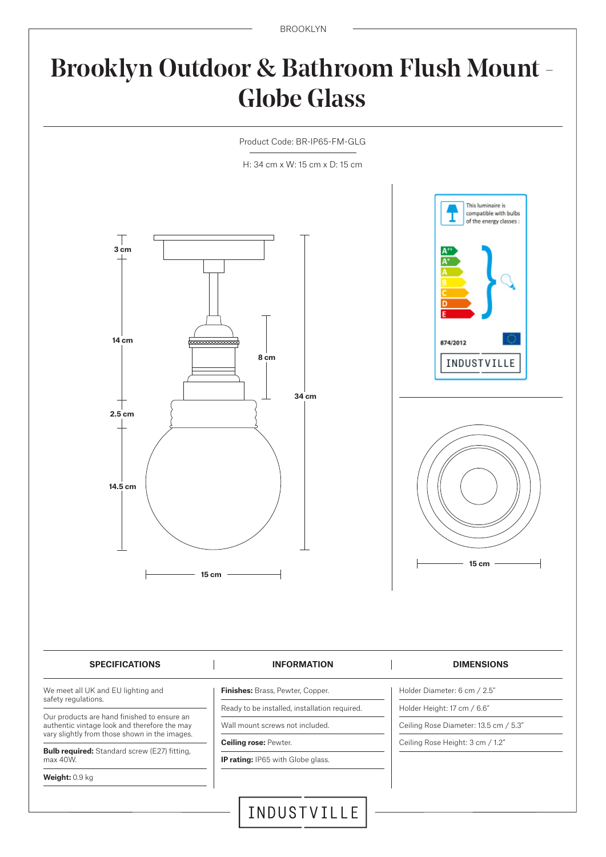BROOKLYN

# Brooklyn Outdoor & Bathroom Flush Mount - Globe Glass



**Weight:** 0.9 kg

**IP rating:** IP65 with Globe glass.

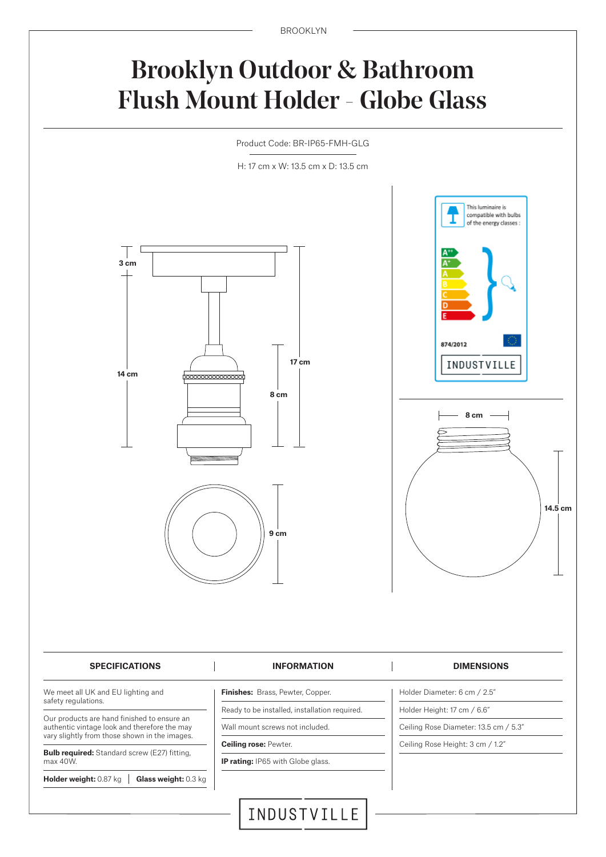BROOKLYN

## Brooklyn Outdoor & Bathroom Flush Mount Holder - Globe Glass

Product Code: BR-IP65-FMH-GLG

H: 17 cm x W: 13.5 cm x D: 13.5 cm



INDUSTVILLE